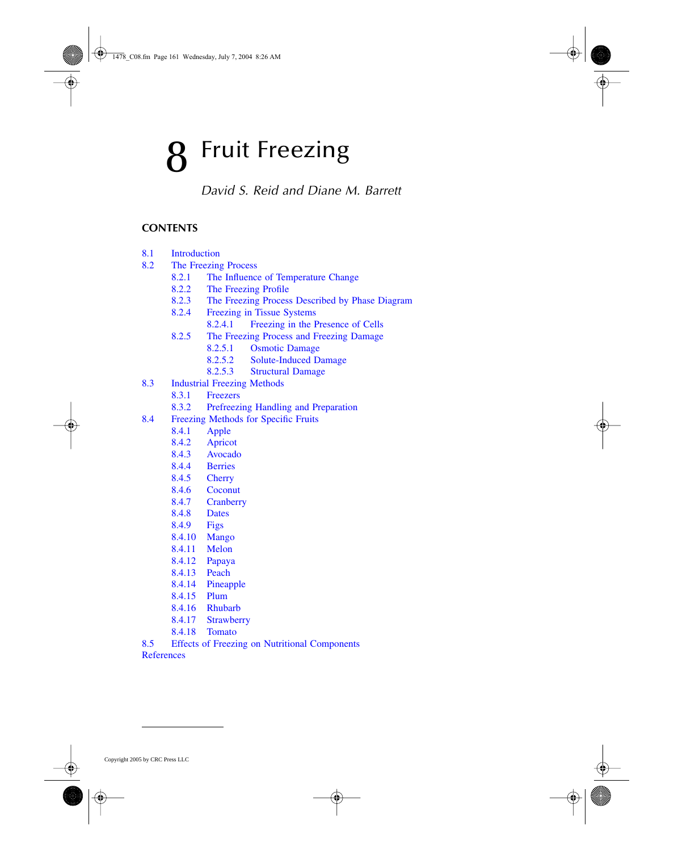# **Fruit Freezing**

*David S. Reid and Diane M. Barrett*

## **CONTENTS**

- 8.1 [Introduction](#page-1-0)
- 8.2 [The Freezing Process](#page-1-0)
	- 8.2.1 The Influence of [Temperature Change](#page-1-0)
	- 8.2.2 [The Freezing Profile](#page-1-0)<br>8.2.3 The Freezing Process
	- [The Freezing Process Described by Phase Diagram](#page-2-0)
	- 8.2.4 Freezing in [Tissue Systems](#page-3-0)
		- 8.2.4.1 [Freezing in the Presence of Cells](#page-4-0)
	- 8.2.5 [The Freezing Process and Freezing Damage](#page-4-0)
		- 8.2.5.1 [Osmotic Damage](#page-4-0)
		- 8.2.5.2 [Solute-Induced Damage](#page-4-0)
		- 8.2.5.3 [Structural Damage](#page-5-0)
- 8.3 [Industrial Freezing Methods](#page-5-0)
	- 8.3.1 [Freezers](#page-5-0)
	- 8.3.2 [Prefreezing Handling and Preparation](#page-6-0)
- 8.4 [Freezing Methods for Specific Fruits](#page-6-0)
	- 8.4.1 [Apple](#page-6-0)
	- 8.4.2 [Apricot](#page-6-0)
	- 8.4.3 [Avocado](#page-7-0)
	- 8.4.4 [Berries](#page-7-0)
	- 8.4.5 [Cherry](#page-7-0)
	- 8.4.6 [Coconut](#page-7-0)
	- 8.4.7 [Cranberry](#page-8-0)
	- 8.4.8 [Dates](#page-8-0)
	- [8.4.9](#page-8-0) Figs
	- 8.4.10 [Mango](#page-8-0)
	- 8.4.11 [Melon](#page-8-0)
	- 8.4.12 [Papaya](#page-8-0)
	- [8.4.13](#page-8-0) Peach
	- 8.4.14 [Pineapple](#page-8-0)
	- [8.4.15](#page-9-0) Plum
	- 8.4.16 [Rhubarb](#page-9-0)
	- 8.4.17 [Strawberry](#page-9-0)
	- 8.4.18 [Tomato](#page-9-0)
- 8.5 [Effects of Freezing on Nutritional Components](#page-9-0)
- **[References](#page-10-0)**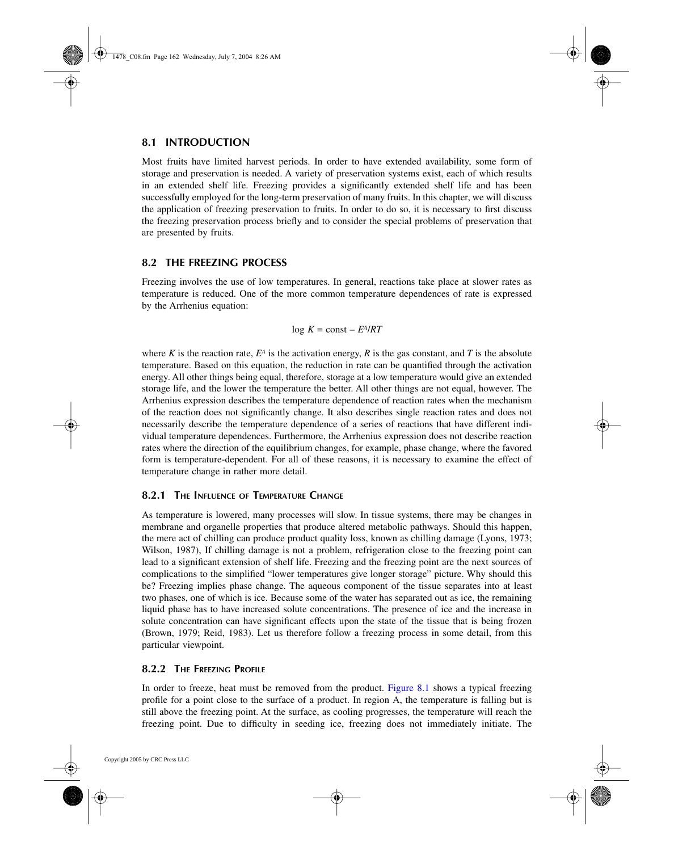## <span id="page-1-0"></span>**8.1 INTRODUCTION**

Most fruits have limited harvest periods. In order to have extended availability, some form of storage and preservation is needed. A variety of preservation systems exist, each of which results in an extended shelf life. Freezing provides a significantly extended shelf life and has been successfully employed for the long-term preservation of many fruits. In this chapter, we will discuss the application of freezing preservation to fruits. In order to do so, it is necessary to first discuss the freezing preservation process briefly and to consider the special problems of preservation that are presented by fruits.

## **8.2 THE FREEZING PROCESS**

Freezing involves the use of low temperatures. In general, reactions take place at slower rates as temperature is reduced. One of the more common temperature dependences of rate is expressed by the Arrhenius equation:

$$
\log K = \text{const} - E^A / RT
$$

where *K* is the reaction rate,  $E^A$  is the activation energy, *R* is the gas constant, and *T* is the absolute temperature. Based on this equation, the reduction in rate can be quantified through the activation energy. All other things being equal, therefore, storage at a low temperature would give an extended storage life, and the lower the temperature the better. All other things are not equal, however. The Arrhenius expression describes the temperature dependence of reaction rates when the mechanism of the reaction does not significantly change. It also describes single reaction rates and does not necessarily describe the temperature dependence of a series of reactions that have different individual temperature dependences. Furthermore, the Arrhenius expression does not describe reaction rates where the direction of the equilibrium changes, for example, phase change, where the favored form is temperature-dependent. For all of these reasons, it is necessary to examine the effect of temperature change in rather more detail.

## **8.2.1 THE INFLUENCE OF TEMPERATURE CHANGE**

As temperature is lowered, many processes will slow. In tissue systems, there may be changes in membrane and organelle properties that produce altered metabolic pathways. Should this happen, the mere act of chilling can produce product quality loss, known as chilling damage (Lyons, 1973; Wilson, 1987), If chilling damage is not a problem, refrigeration close to the freezing point can lead to a significant extension of shelf life. Freezing and the freezing point are the next sources of complications to the simplified "lower temperatures give longer storage" picture. Why should this be? Freezing implies phase change. The aqueous component of the tissue separates into at least two phases, one of which is ice. Because some of the water has separated out as ice, the remaining liquid phase has to have increased solute concentrations. The presence of ice and the increase in solute concentration can have significant effects upon the state of the tissue that is being frozen (Brown, 1979; Reid, 1983). Let us therefore follow a freezing process in some detail, from this particular viewpoint.

## **8.2.2 THE FREEZING PROFILE**

In order to freeze, heat must be removed from the product. [Figure 8.1](#page-2-0) shows a typical freezing profile for a point close to the surface of a product. In region A, the temperature is falling but is still above the freezing point. At the surface, as cooling progresses, the temperature will reach the freezing point. Due to difficulty in seeding ice, freezing does not immediately initiate. The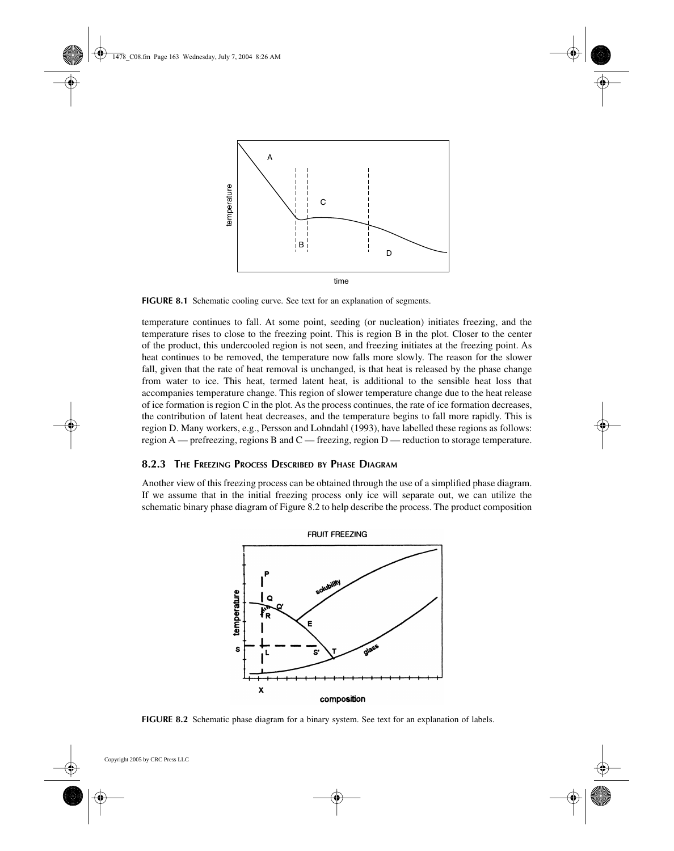

**FIGURE 8.1** Schematic cooling curve. See text for an explanation of segments.

temperature continues to fall. At some point, seeding (or nucleation) initiates freezing, and the temperature rises to close to the freezing point. This is region B in the plot. Closer to the center of the product, this undercooled region is not seen, and freezing initiates at the freezing point. As heat continues to be removed, the temperature now falls more slowly. The reason for the slower fall, given that the rate of heat removal is unchanged, is that heat is released by the phase change from water to ice. This heat, termed latent heat, is additional to the sensible heat loss that accompanies temperature change. This region of slower temperature change due to the heat release of ice formation is region C in the plot. As the process continues, the rate of ice formation decreases, the contribution of latent heat decreases, and the temperature begins to fall more rapidly. This is region D. Many workers, e.g., Persson and Lohndahl (1993), have labelled these regions as follows: region A — prefreezing, regions B and C — freezing, region D — reduction to storage temperature.

#### **8.2.3 THE FREEZING PROCESS DESCRIBED BY PHASE DIAGRAM**

Another view of this freezing process can be obtained through the use of a simplified phase diagram. If we assume that in the initial freezing process only ice will separate out, we can utilize the schematic binary phase diagram of Figure 8.2 to help describe the process. The product composition

<span id="page-2-0"></span>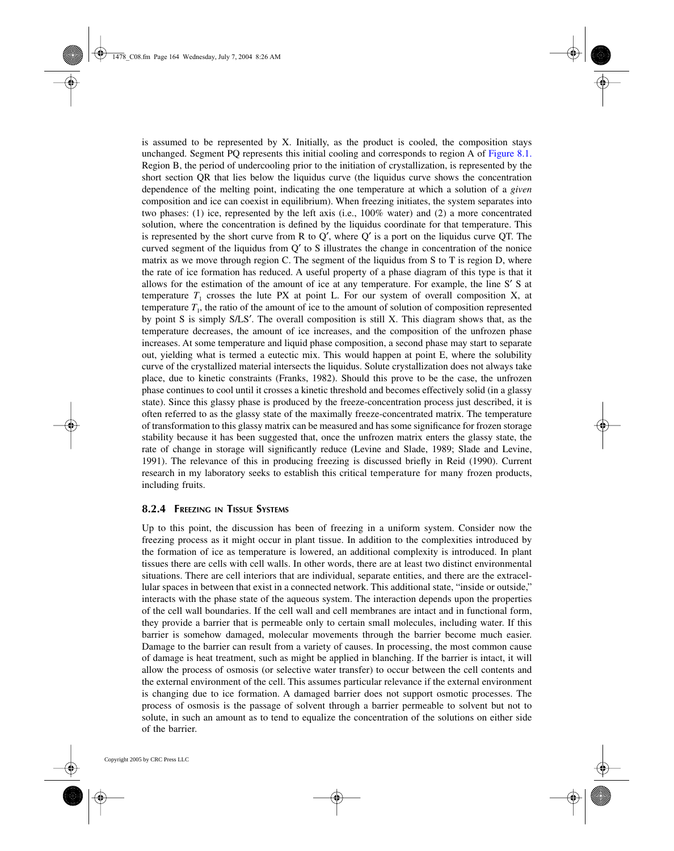<span id="page-3-0"></span>is assumed to be represented by X. Initially, as the product is cooled, the composition stays unchanged. Segment PQ represents this initial cooling and corresponds to region A of [Figure 8.1](#page-2-0). Region B, the period of undercooling prior to the initiation of crystallization, is represented by the short section QR that lies below the liquidus curve (the liquidus curve shows the concentration dependence of the melting point, indicating the one temperature at which a solution of a *given* composition and ice can coexist in equilibrium). When freezing initiates, the system separates into two phases: (1) ice, represented by the left axis (i.e., 100% water) and (2) a more concentrated solution, where the concentration is defined by the liquidus coordinate for that temperature. This is represented by the short curve from R to  $Q'$ , where  $Q'$  is a port on the liquidus curve QT. The curved segment of the liquidus from  $Q'$  to S illustrates the change in concentration of the nonice matrix as we move through region C. The segment of the liquidus from S to T is region D, where the rate of ice formation has reduced. A useful property of a phase diagram of this type is that it allows for the estimation of the amount of ice at any temperature. For example, the line  $S' S$  at temperature  $T_1$  crosses the lute PX at point L. For our system of overall composition X, at temperature  $T_1$ , the ratio of the amount of ice to the amount of solution of composition represented by point S is simply S/LS'. The overall composition is still X. This diagram shows that, as the temperature decreases, the amount of ice increases, and the composition of the unfrozen phase increases. At some temperature and liquid phase composition, a second phase may start to separate out, yielding what is termed a eutectic mix. This would happen at point E, where the solubility curve of the crystallized material intersects the liquidus. Solute crystallization does not always take place, due to kinetic constraints (Franks, 1982). Should this prove to be the case, the unfrozen phase continues to cool until it crosses a kinetic threshold and becomes effectively solid (in a glassy state). Since this glassy phase is produced by the freeze-concentration process just described, it is often referred to as the glassy state of the maximally freeze-concentrated matrix. The temperature of transformation to this glassy matrix can be measured and has some significance for frozen storage stability because it has been suggested that, once the unfrozen matrix enters the glassy state, the rate of change in storage will significantly reduce (Levine and Slade, 1989; Slade and Levine, 1991). The relevance of this in producing freezing is discussed briefly in Reid (1990). Current research in my laboratory seeks to establish this critical temperature for many frozen products, including fruits.

#### **8.2.4 FREEZING IN TISSUE SYSTEMS**

Up to this point, the discussion has been of freezing in a uniform system. Consider now the freezing process as it might occur in plant tissue. In addition to the complexities introduced by the formation of ice as temperature is lowered, an additional complexity is introduced. In plant tissues there are cells with cell walls. In other words, there are at least two distinct environmental situations. There are cell interiors that are individual, separate entities, and there are the extracellular spaces in between that exist in a connected network. This additional state, "inside or outside," interacts with the phase state of the aqueous system. The interaction depends upon the properties of the cell wall boundaries. If the cell wall and cell membranes are intact and in functional form, they provide a barrier that is permeable only to certain small molecules, including water. If this barrier is somehow damaged, molecular movements through the barrier become much easier. Damage to the barrier can result from a variety of causes. In processing, the most common cause of damage is heat treatment, such as might be applied in blanching. If the barrier is intact, it will allow the process of osmosis (or selective water transfer) to occur between the cell contents and the external environment of the cell. This assumes particular relevance if the external environment is changing due to ice formation. A damaged barrier does not support osmotic processes. The process of osmosis is the passage of solvent through a barrier permeable to solvent but not to solute, in such an amount as to tend to equalize the concentration of the solutions on either side of the barrier.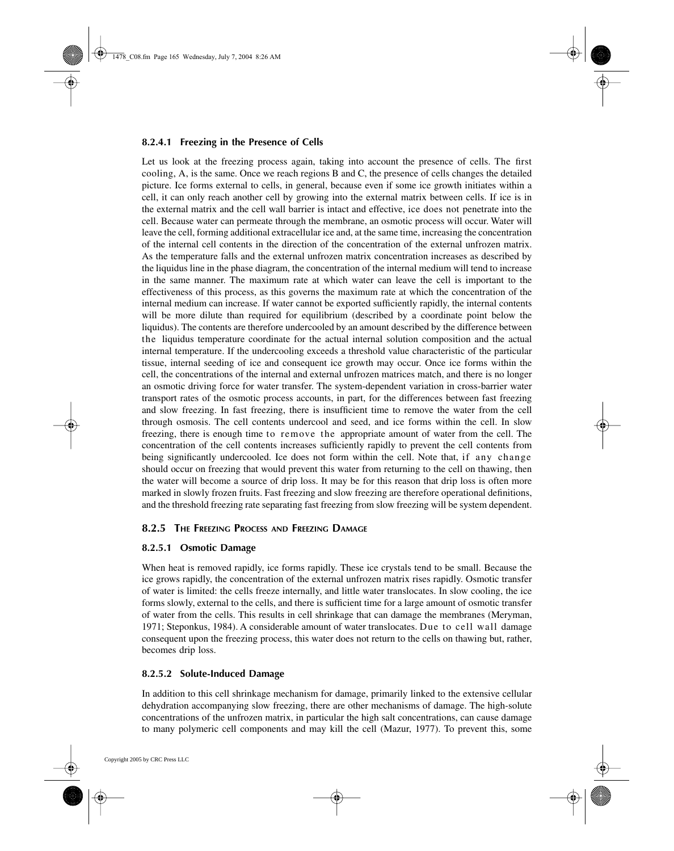#### <span id="page-4-0"></span>**8.2.4.1 Freezing in the Presence of Cells**

Let us look at the freezing process again, taking into account the presence of cells. The first cooling, A, is the same. Once we reach regions B and C, the presence of cells changes the detailed picture. Ice forms external to cells, in general, because even if some ice growth initiates within a cell, it can only reach another cell by growing into the external matrix between cells. If ice is in the external matrix and the cell wall barrier is intact and effective, ice does not penetrate into the cell. Because water can permeate through the membrane, an osmotic process will occur. Water will leave the cell, forming additional extracellular ice and, at the same time, increasing the concentration of the internal cell contents in the direction of the concentration of the external unfrozen matrix. As the temperature falls and the external unfrozen matrix concentration increases as described by the liquidus line in the phase diagram, the concentration of the internal medium will tend to increase in the same manner. The maximum rate at which water can leave the cell is important to the effectiveness of this process, as this governs the maximum rate at which the concentration of the internal medium can increase. If water cannot be exported sufficiently rapidly, the internal contents will be more dilute than required for equilibrium (described by a coordinate point below the liquidus). The contents are therefore undercooled by an amount described by the difference between the liquidus temperature coordinate for the actual internal solution composition and the actual internal temperature. If the undercooling exceeds a threshold value characteristic of the particular tissue, internal seeding of ice and consequent ice growth may occur. Once ice forms within the cell, the concentrations of the internal and external unfrozen matrices match, and there is no longer an osmotic driving force for water transfer. The system-dependent variation in cross-barrier water transport rates of the osmotic process accounts, in part, for the differences between fast freezing and slow freezing. In fast freezing, there is insufficient time to remove the water from the cell through osmosis. The cell contents undercool and seed, and ice forms within the cell. In slow freezing, there is enough time to remove the appropriate amount of water from the cell. The concentration of the cell contents increases sufficiently rapidly to prevent the cell contents from being significantly undercooled. Ice does not form within the cell. Note that, if any change should occur on freezing that would prevent this water from returning to the cell on thawing, then the water will become a source of drip loss. It may be for this reason that drip loss is often more marked in slowly frozen fruits. Fast freezing and slow freezing are therefore operational definitions, and the threshold freezing rate separating fast freezing from slow freezing will be system dependent.

## **8.2.5 THE FREEZING PROCESS AND FREEZING DAMAGE**

#### **8.2.5.1 Osmotic Damage**

When heat is removed rapidly, ice forms rapidly. These ice crystals tend to be small. Because the ice grows rapidly, the concentration of the external unfrozen matrix rises rapidly. Osmotic transfer of water is limited: the cells freeze internally, and little water translocates. In slow cooling, the ice forms slowly, external to the cells, and there is sufficient time for a large amount of osmotic transfer of water from the cells. This results in cell shrinkage that can damage the membranes (Meryman, 1971; Steponkus, 1984). A considerable amount of water translocates. Due to cell wall damage consequent upon the freezing process, this water does not return to the cells on thawing but, rather, becomes drip loss.

## **8.2.5.2 Solute-Induced Damage**

In addition to this cell shrinkage mechanism for damage, primarily linked to the extensive cellular dehydration accompanying slow freezing, there are other mechanisms of damage. The high-solute concentrations of the unfrozen matrix, in particular the high salt concentrations, can cause damage to many polymeric cell components and may kill the cell (Mazur, 1977). To prevent this, some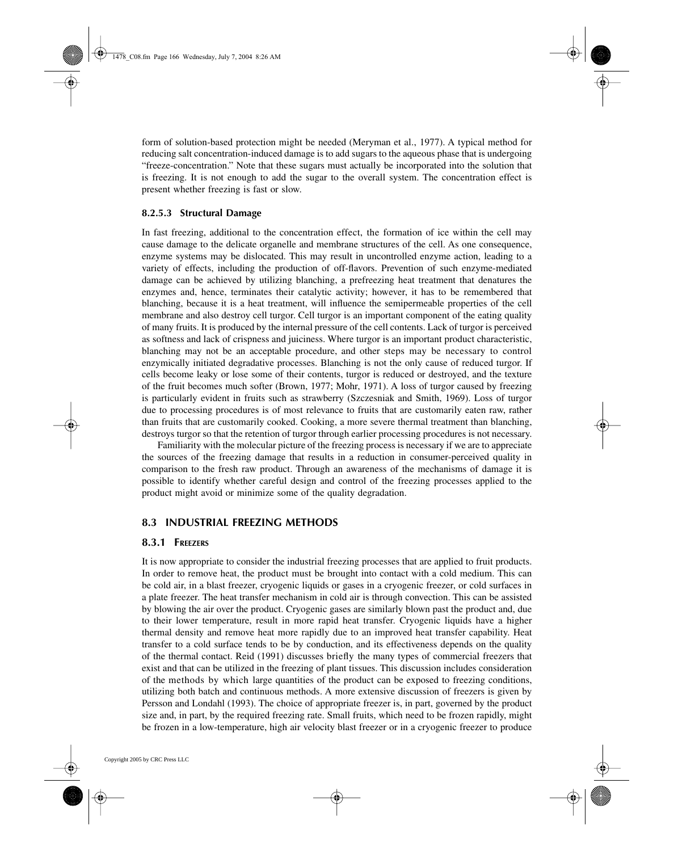<span id="page-5-0"></span>form of solution-based protection might be needed (Meryman et al., 1977). A typical method for reducing salt concentration-induced damage is to add sugars to the aqueous phase that is undergoing "freeze-concentration." Note that these sugars must actually be incorporated into the solution that is freezing. It is not enough to add the sugar to the overall system. The concentration effect is present whether freezing is fast or slow.

#### **8.2.5.3 Structural Damage**

In fast freezing, additional to the concentration effect, the formation of ice within the cell may cause damage to the delicate organelle and membrane structures of the cell. As one consequence, enzyme systems may be dislocated. This may result in uncontrolled enzyme action, leading to a variety of effects, including the production of off-flavors. Prevention of such enzyme-mediated damage can be achieved by utilizing blanching, a prefreezing heat treatment that denatures the enzymes and, hence, terminates their catalytic activity; however, it has to be remembered that blanching, because it is a heat treatment, will influence the semipermeable properties of the cell membrane and also destroy cell turgor. Cell turgor is an important component of the eating quality of many fruits. It is produced by the internal pressure of the cell contents. Lack of turgor is perceived as softness and lack of crispness and juiciness. Where turgor is an important product characteristic, blanching may not be an acceptable procedure, and other steps may be necessary to control enzymically initiated degradative processes. Blanching is not the only cause of reduced turgor. If cells become leaky or lose some of their contents, turgor is reduced or destroyed, and the texture of the fruit becomes much softer (Brown, 1977; Mohr, 1971). A loss of turgor caused by freezing is particularly evident in fruits such as strawberry (Szczesniak and Smith, 1969). Loss of turgor due to processing procedures is of most relevance to fruits that are customarily eaten raw, rather than fruits that are customarily cooked. Cooking, a more severe thermal treatment than blanching, destroys turgor so that the retention of turgor through earlier processing procedures is not necessary.

Familiarity with the molecular picture of the freezing process is necessary if we are to appreciate the sources of the freezing damage that results in a reduction in consumer-perceived quality in comparison to the fresh raw product. Through an awareness of the mechanisms of damage it is possible to identify whether careful design and control of the freezing processes applied to the product might avoid or minimize some of the quality degradation.

#### **8.3 INDUSTRIAL FREEZING METHODS**

#### **8.3.1 FREEZERS**

It is now appropriate to consider the industrial freezing processes that are applied to fruit products. In order to remove heat, the product must be brought into contact with a cold medium. This can be cold air, in a blast freezer, cryogenic liquids or gases in a cryogenic freezer, or cold surfaces in a plate freezer. The heat transfer mechanism in cold air is through convection. This can be assisted by blowing the air over the product. Cryogenic gases are similarly blown past the product and, due to their lower temperature, result in more rapid heat transfer. Cryogenic liquids have a higher thermal density and remove heat more rapidly due to an improved heat transfer capability. Heat transfer to a cold surface tends to be by conduction, and its effectiveness depends on the quality of the thermal contact. Reid (1991) discusses briefly the many types of commercial freezers that exist and that can be utilized in the freezing of plant tissues. This discussion includes consideration of the methods by which large quantities of the product can be exposed to freezing conditions, utilizing both batch and continuous methods. A more extensive discussion of freezers is given by Persson and Londahl (1993). The choice of appropriate freezer is, in part, governed by the product size and, in part, by the required freezing rate. Small fruits, which need to be frozen rapidly, might be frozen in a low-temperature, high air velocity blast freezer or in a cryogenic freezer to produce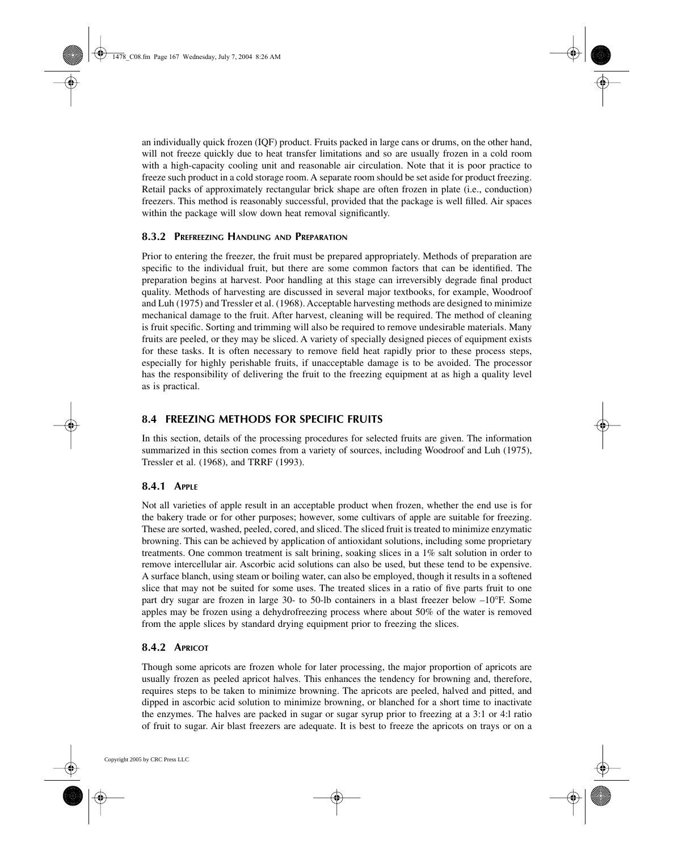<span id="page-6-0"></span>an individually quick frozen (IQF) product. Fruits packed in large cans or drums, on the other hand, will not freeze quickly due to heat transfer limitations and so are usually frozen in a cold room with a high-capacity cooling unit and reasonable air circulation. Note that it is poor practice to freeze such product in a cold storage room. A separate room should be set aside for product freezing. Retail packs of approximately rectangular brick shape are often frozen in plate (i.e., conduction) freezers. This method is reasonably successful, provided that the package is well filled. Air spaces within the package will slow down heat removal significantly.

#### **8.3.2 PREFREEZING HANDLING AND PREPARATION**

Prior to entering the freezer, the fruit must be prepared appropriately. Methods of preparation are specific to the individual fruit, but there are some common factors that can be identified. The preparation begins at harvest. Poor handling at this stage can irreversibly degrade final product quality. Methods of harvesting are discussed in several major textbooks, for example, Woodroof and Luh (1975) and Tressler et al. (1968). Acceptable harvesting methods are designed to minimize mechanical damage to the fruit. After harvest, cleaning will be required. The method of cleaning is fruit specific. Sorting and trimming will also be required to remove undesirable materials. Many fruits are peeled, or they may be sliced. A variety of specially designed pieces of equipment exists for these tasks. It is often necessary to remove field heat rapidly prior to these process steps, especially for highly perishable fruits, if unacceptable damage is to be avoided. The processor has the responsibility of delivering the fruit to the freezing equipment at as high a quality level as is practical.

## **8.4 FREEZING METHODS FOR SPECIFIC FRUITS**

In this section, details of the processing procedures for selected fruits are given. The information summarized in this section comes from a variety of sources, including Woodroof and Luh (1975), Tressler et al. (1968), and TRRF (1993).

## **8.4.1 APPLE**

Not all varieties of apple result in an acceptable product when frozen, whether the end use is for the bakery trade or for other purposes; however, some cultivars of apple are suitable for freezing. These are sorted, washed, peeled, cored, and sliced. The sliced fruit is treated to minimize enzymatic browning. This can be achieved by application of antioxidant solutions, including some proprietary treatments. One common treatment is salt brining, soaking slices in a 1% salt solution in order to remove intercellular air. Ascorbic acid solutions can also be used, but these tend to be expensive. A surface blanch, using steam or boiling water, can also be employed, though it results in a softened slice that may not be suited for some uses. The treated slices in a ratio of five parts fruit to one part dry sugar are frozen in large 30- to 50-lb containers in a blast freezer below –10∞F. Some apples may be frozen using a dehydrofreezing process where about 50% of the water is removed from the apple slices by standard drying equipment prior to freezing the slices.

## **8.4.2 APRICOT**

Though some apricots are frozen whole for later processing, the major proportion of apricots are usually frozen as peeled apricot halves. This enhances the tendency for browning and, therefore, requires steps to be taken to minimize browning. The apricots are peeled, halved and pitted, and dipped in ascorbic acid solution to minimize browning, or blanched for a short time to inactivate the enzymes. The halves are packed in sugar or sugar syrup prior to freezing at a 3:1 or 4:l ratio of fruit to sugar. Air blast freezers are adequate. It is best to freeze the apricots on trays or on a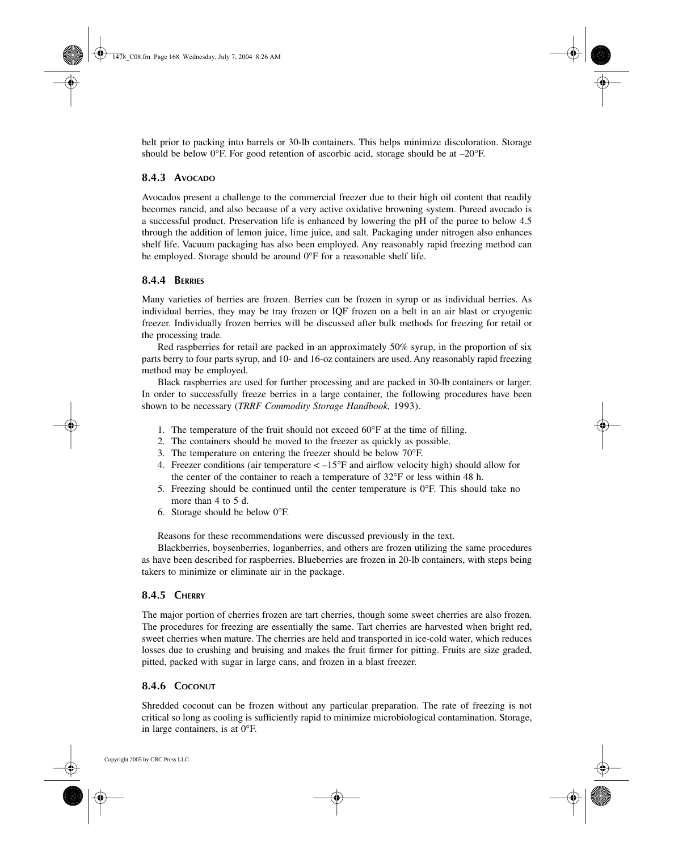<span id="page-7-0"></span>belt prior to packing into barrels or 30-lb containers. This helps minimize discoloration. Storage should be below 0°F. For good retention of ascorbic acid, storage should be at  $-20^{\circ}$ F.

## **8.4.3 AVOCADO**

Avocados present a challenge to the commercial freezer due to their high oil content that readily becomes rancid, and also because of a very active oxidative browning system. Pureed avocado is a successful product. Preservation life is enhanced by lowering the pH of the puree to below 4.5 through the addition of lemon juice, lime juice, and salt. Packaging under nitrogen also enhances shelf life. Vacuum packaging has also been employed. Any reasonably rapid freezing method can be employed. Storage should be around 0∞F for a reasonable shelf life.

#### **8.4.4 BERRIES**

Many varieties of berries are frozen. Berries can be frozen in syrup or as individual berries. As individual berries, they may be tray frozen or IQF frozen on a belt in an air blast or cryogenic freezer. Individually frozen berries will be discussed after bulk methods for freezing for retail or the processing trade.

Red raspberries for retail are packed in an approximately 50% syrup, in the proportion of six parts berry to four parts syrup, and 10- and 16-oz containers are used. Any reasonably rapid freezing method may be employed.

Black raspberries are used for further processing and are packed in 30-lb containers or larger. In order to successfully freeze berries in a large container, the following procedures have been shown to be necessary (*TRRF Commodity Storage Handbook,* 1993).

- 1. The temperature of the fruit should not exceed 60∞F at the time of filling.
- 2. The containers should be moved to the freezer as quickly as possible.
- 3. The temperature on entering the freezer should be below 70∞F.
- 4. Freezer conditions (air temperature < –15∞F and airflow velocity high) should allow for the center of the container to reach a temperature of 32∞F or less within 48 h.
- 5. Freezing should be continued until the center temperature is  $0^\circ$ F. This should take no more than 4 to 5 d.
- 6. Storage should be below  $0^{\circ}$ F.

Reasons for these recommendations were discussed previously in the text.

Blackberries, boysenberries, loganberries, and others are frozen utilizing the same procedures as have been described for raspberries. Blueberries are frozen in 20-lb containers, with steps being takers to minimize or eliminate air in the package.

## **8.4.5 CHERRY**

The major portion of cherries frozen are tart cherries, though some sweet cherries are also frozen. The procedures for freezing are essentially the same. Tart cherries are harvested when bright red, sweet cherries when mature. The cherries are held and transported in ice-cold water, which reduces losses due to crushing and bruising and makes the fruit firmer for pitting. Fruits are size graded, pitted, packed with sugar in large cans, and frozen in a blast freezer.

#### **8.4.6 COCONUT**

Shredded coconut can be frozen without any particular preparation. The rate of freezing is not critical so long as cooling is sufficiently rapid to minimize microbiological contamination. Storage, in large containers, is at 0∞F.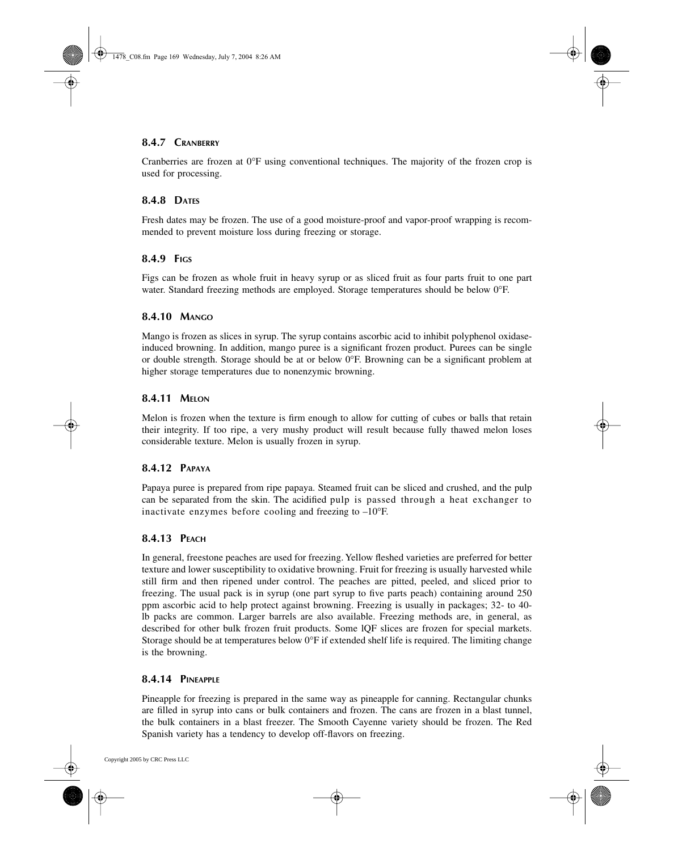#### <span id="page-8-0"></span>**8.4.7 CRANBERRY**

Cranberries are frozen at 0∞F using conventional techniques. The majority of the frozen crop is used for processing.

#### **8.4.8 DATES**

Fresh dates may be frozen. The use of a good moisture-proof and vapor-proof wrapping is recommended to prevent moisture loss during freezing or storage.

#### **8.4.9 FIGS**

Figs can be frozen as whole fruit in heavy syrup or as sliced fruit as four parts fruit to one part water. Standard freezing methods are employed. Storage temperatures should be below 0°F.

#### **8.4.10 MANGO**

Mango is frozen as slices in syrup. The syrup contains ascorbic acid to inhibit polyphenol oxidaseinduced browning. In addition, mango puree is a significant frozen product. Purees can be single or double strength. Storage should be at or below 0∞F. Browning can be a significant problem at higher storage temperatures due to nonenzymic browning.

#### **8.4.11 MELON**

Melon is frozen when the texture is firm enough to allow for cutting of cubes or balls that retain their integrity. If too ripe, a very mushy product will result because fully thawed melon loses considerable texture. Melon is usually frozen in syrup.

#### **8.4.12 PAPAYA**

Papaya puree is prepared from ripe papaya. Steamed fruit can be sliced and crushed, and the pulp can be separated from the skin. The acidified pulp is passed through a heat exchanger to inactivate enzymes before cooling and freezing to –10∞F.

## **8.4.13 PEACH**

In general, freestone peaches are used for freezing. Yellow fleshed varieties are preferred for better texture and lower susceptibility to oxidative browning. Fruit for freezing is usually harvested while still firm and then ripened under control. The peaches are pitted, peeled, and sliced prior to freezing. The usual pack is in syrup (one part syrup to five parts peach) containing around 250 ppm ascorbic acid to help protect against browning. Freezing is usually in packages; 32- to 40 lb packs are common. Larger barrels are also available. Freezing methods are, in general, as described for other bulk frozen fruit products. Some lQF slices are frozen for special markets. Storage should be at temperatures below  $0^{\circ}$ F if extended shelf life is required. The limiting change is the browning.

#### **8.4.14 PINEAPPLE**

Pineapple for freezing is prepared in the same way as pineapple for canning. Rectangular chunks are filled in syrup into cans or bulk containers and frozen. The cans are frozen in a blast tunnel, the bulk containers in a blast freezer. The Smooth Cayenne variety should be frozen. The Red Spanish variety has a tendency to develop off-flavors on freezing.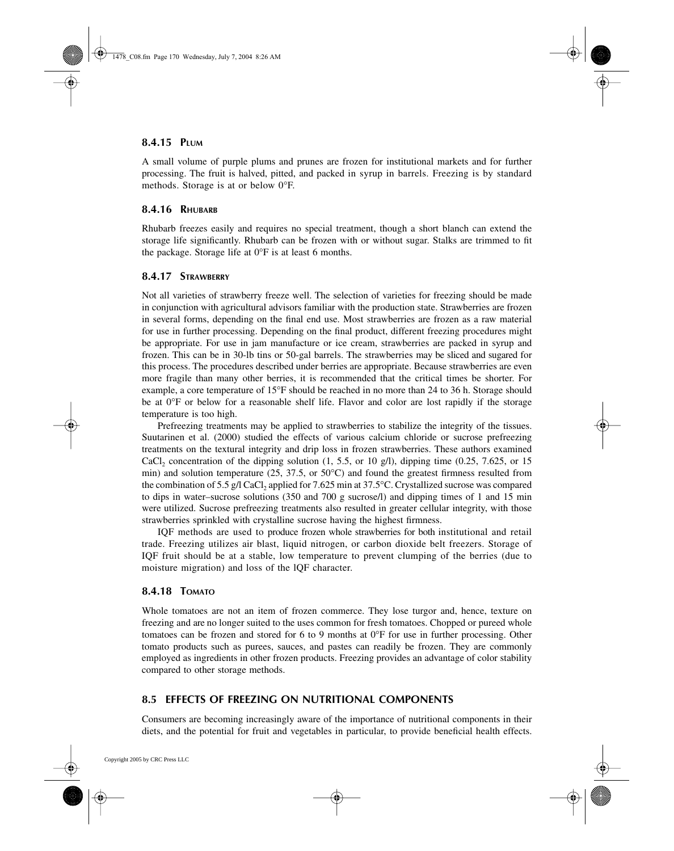#### <span id="page-9-0"></span>**8.4.15 PLUM**

A small volume of purple plums and prunes are frozen for institutional markets and for further processing. The fruit is halved, pitted, and packed in syrup in barrels. Freezing is by standard methods. Storage is at or below 0∞F.

#### **8.4.16 RHUBARB**

Rhubarb freezes easily and requires no special treatment, though a short blanch can extend the storage life significantly. Rhubarb can be frozen with or without sugar. Stalks are trimmed to fit the package. Storage life at  $0^{\circ}$ F is at least 6 months.

#### **8.4.17 STRAWBERRY**

Not all varieties of strawberry freeze well. The selection of varieties for freezing should be made in conjunction with agricultural advisors familiar with the production state. Strawberries are frozen in several forms, depending on the final end use. Most strawberries are frozen as a raw material for use in further processing. Depending on the final product, different freezing procedures might be appropriate. For use in jam manufacture or ice cream, strawberries are packed in syrup and frozen. This can be in 30-lb tins or 50-gal barrels. The strawberries may be sliced and sugared for this process. The procedures described under berries are appropriate. Because strawberries are even more fragile than many other berries, it is recommended that the critical times be shorter. For example, a core temperature of 15∞F should be reached in no more than 24 to 36 h. Storage should be at 0°F or below for a reasonable shelf life. Flavor and color are lost rapidly if the storage temperature is too high.

Prefreezing treatments may be applied to strawberries to stabilize the integrity of the tissues. Suutarinen et al. (2000) studied the effects of various calcium chloride or sucrose prefreezing treatments on the textural integrity and drip loss in frozen strawberries. These authors examined CaCl<sub>2</sub> concentration of the dipping solution  $(1, 5.5, \text{ or } 10 \text{ g/l})$ , dipping time  $(0.25, 7.625, \text{ or } 15 \text{ g/l})$ min) and solution temperature (25, 37.5, or  $50^{\circ}$ C) and found the greatest firmness resulted from the combination of 5.5 g/l CaCl, applied for 7.625 min at  $37.5^{\circ}$ C. Crystallized sucrose was compared to dips in water–sucrose solutions (350 and 700 g sucrose/l) and dipping times of 1 and 15 min were utilized. Sucrose prefreezing treatments also resulted in greater cellular integrity, with those strawberries sprinkled with crystalline sucrose having the highest firmness.

IQF methods are used to produce frozen whole strawberries for both institutional and retail trade. Freezing utilizes air blast, liquid nitrogen, or carbon dioxide belt freezers. Storage of IQF fruit should be at a stable, low temperature to prevent clumping of the berries (due to moisture migration) and loss of the lQF character.

#### **8.4.18 TOMATO**

Whole tomatoes are not an item of frozen commerce. They lose turgor and, hence, texture on freezing and are no longer suited to the uses common for fresh tomatoes. Chopped or pureed whole tomatoes can be frozen and stored for 6 to 9 months at 0°F for use in further processing. Other tomato products such as purees, sauces, and pastes can readily be frozen. They are commonly employed as ingredients in other frozen products. Freezing provides an advantage of color stability compared to other storage methods.

## **8.5 EFFECTS OF FREEZING ON NUTRITIONAL COMPONENTS**

Consumers are becoming increasingly aware of the importance of nutritional components in their diets, and the potential for fruit and vegetables in particular, to provide beneficial health effects.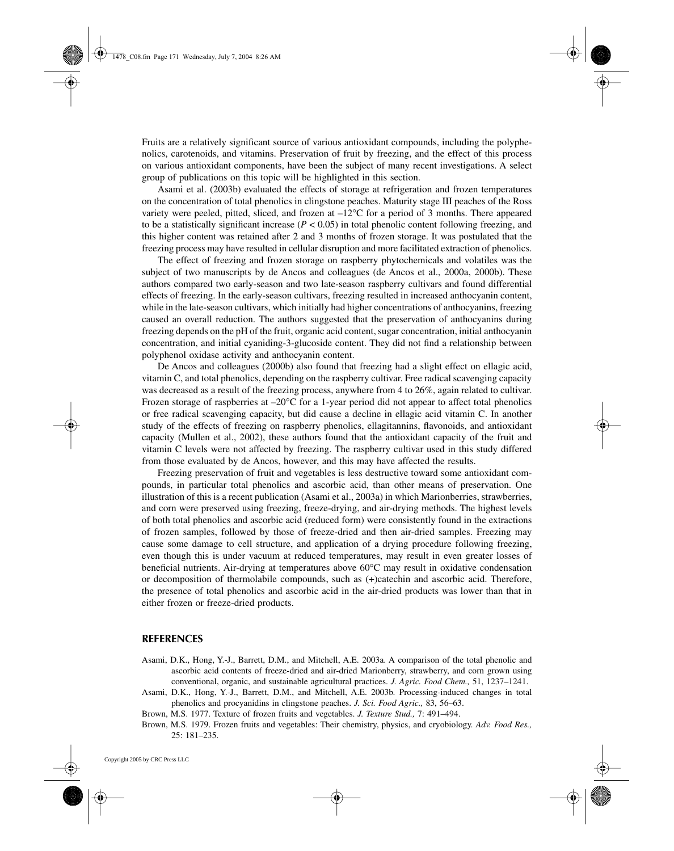<span id="page-10-0"></span>Fruits are a relatively significant source of various antioxidant compounds, including the polyphenolics, carotenoids, and vitamins. Preservation of fruit by freezing, and the effect of this process on various antioxidant components, have been the subject of many recent investigations. A select group of publications on this topic will be highlighted in this section.

Asami et al. (2003b) evaluated the effects of storage at refrigeration and frozen temperatures on the concentration of total phenolics in clingstone peaches. Maturity stage III peaches of the Ross variety were peeled, pitted, sliced, and frozen at  $-12^{\circ}$ C for a period of 3 months. There appeared to be a statistically significant increase  $(P < 0.05)$  in total phenolic content following freezing, and this higher content was retained after 2 and 3 months of frozen storage. It was postulated that the freezing process may have resulted in cellular disruption and more facilitated extraction of phenolics.

The effect of freezing and frozen storage on raspberry phytochemicals and volatiles was the subject of two manuscripts by de Ancos and colleagues (de Ancos et al., 2000a, 2000b). These authors compared two early-season and two late-season raspberry cultivars and found differential effects of freezing. In the early-season cultivars, freezing resulted in increased anthocyanin content, while in the late-season cultivars, which initially had higher concentrations of anthocyanins, freezing caused an overall reduction. The authors suggested that the preservation of anthocyanins during freezing depends on the pH of the fruit, organic acid content, sugar concentration, initial anthocyanin concentration, and initial cyaniding-3-glucoside content. They did not find a relationship between polyphenol oxidase activity and anthocyanin content.

De Ancos and colleagues (2000b) also found that freezing had a slight effect on ellagic acid, vitamin C, and total phenolics, depending on the raspberry cultivar. Free radical scavenging capacity was decreased as a result of the freezing process, anywhere from 4 to 26%, again related to cultivar. Frozen storage of raspberries at  $-20^{\circ}$ C for a 1-year period did not appear to affect total phenolics or free radical scavenging capacity, but did cause a decline in ellagic acid vitamin C. In another study of the effects of freezing on raspberry phenolics, ellagitannins, flavonoids, and antioxidant capacity (Mullen et al., 2002), these authors found that the antioxidant capacity of the fruit and vitamin C levels were not affected by freezing. The raspberry cultivar used in this study differed from those evaluated by de Ancos, however, and this may have affected the results.

Freezing preservation of fruit and vegetables is less destructive toward some antioxidant compounds, in particular total phenolics and ascorbic acid, than other means of preservation. One illustration of this is a recent publication (Asami et al., 2003a) in which Marionberries, strawberries, and corn were preserved using freezing, freeze-drying, and air-drying methods. The highest levels of both total phenolics and ascorbic acid (reduced form) were consistently found in the extractions of frozen samples, followed by those of freeze-dried and then air-dried samples. Freezing may cause some damage to cell structure, and application of a drying procedure following freezing, even though this is under vacuum at reduced temperatures, may result in even greater losses of beneficial nutrients. Air-drying at temperatures above 60∞C may result in oxidative condensation or decomposition of thermolabile compounds, such as (+)catechin and ascorbic acid. Therefore, the presence of total phenolics and ascorbic acid in the air-dried products was lower than that in either frozen or freeze-dried products.

#### **REFERENCES**

- Asami, D.K., Hong, Y.-J., Barrett, D.M., and Mitchell, A.E. 2003a. A comparison of the total phenolic and ascorbic acid contents of freeze-dried and air-dried Marionberry, strawberry, and corn grown using conventional, organic, and sustainable agricultural practices. *J. Agric. Food Chem.,* 51, 1237–1241.
- Asami, D.K., Hong, Y.-J., Barrett, D.M., and Mitchell, A.E. 2003b. Processing-induced changes in total phenolics and procyanidins in clingstone peaches. *J. Sci. Food Agric.,* 83, 56–63.
- Brown, M.S. 1977. Texture of frozen fruits and vegetables. *J. Texture Stud.,* 7: 491–494.

Brown, M.S. 1979. Frozen fruits and vegetables: Their chemistry, physics, and cryobiology*. Adv. Food Res.,* 25: 181–235.